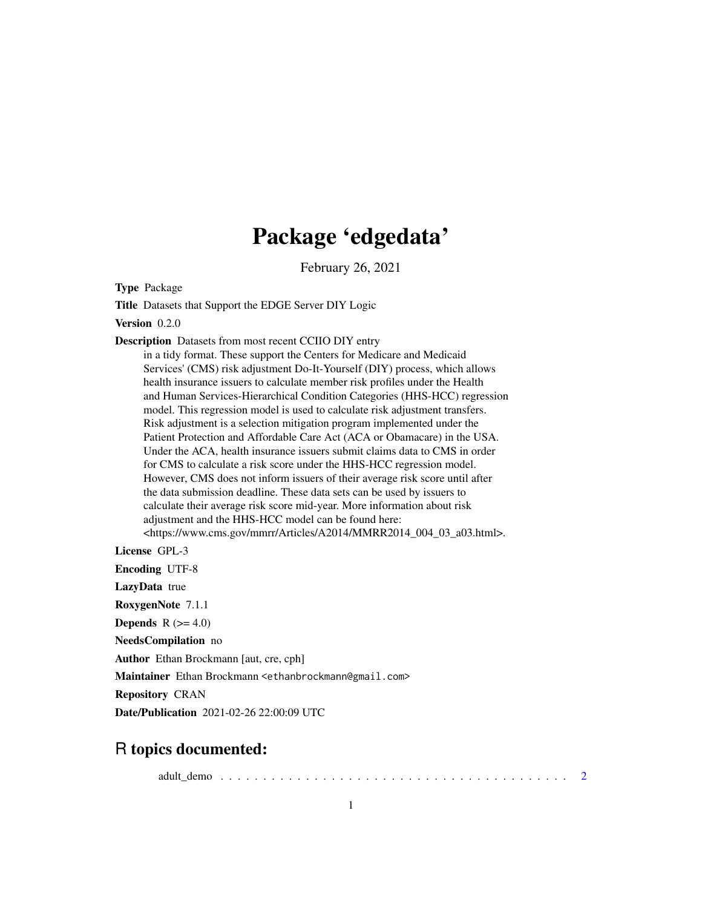## Package 'edgedata'

February 26, 2021

Type Package

Title Datasets that Support the EDGE Server DIY Logic

Version 0.2.0

Description Datasets from most recent CCIIO DIY entry

in a tidy format. These support the Centers for Medicare and Medicaid Services' (CMS) risk adjustment Do-It-Yourself (DIY) process, which allows health insurance issuers to calculate member risk profiles under the Health and Human Services-Hierarchical Condition Categories (HHS-HCC) regression model. This regression model is used to calculate risk adjustment transfers. Risk adjustment is a selection mitigation program implemented under the Patient Protection and Affordable Care Act (ACA or Obamacare) in the USA. Under the ACA, health insurance issuers submit claims data to CMS in order for CMS to calculate a risk score under the HHS-HCC regression model. However, CMS does not inform issuers of their average risk score until after the data submission deadline. These data sets can be used by issuers to calculate their average risk score mid-year. More information about risk adjustment and the HHS-HCC model can be found here: <https://www.cms.gov/mmrr/Articles/A2014/MMRR2014\_004\_03\_a03.html>.

License GPL-3

Encoding UTF-8 LazyData true

RoxygenNote 7.1.1

Depends  $R$  ( $>= 4.0$ )

NeedsCompilation no

Author Ethan Brockmann [aut, cre, cph]

Maintainer Ethan Brockmann <ethanbrockmann@gmail.com>

Repository CRAN

Date/Publication 2021-02-26 22:00:09 UTC

## R topics documented:

adult\_demo . . . . . . . . . . . . . . . . . . . . . . . . . . . . . . . . . . . . . . . . . [2](#page-1-0)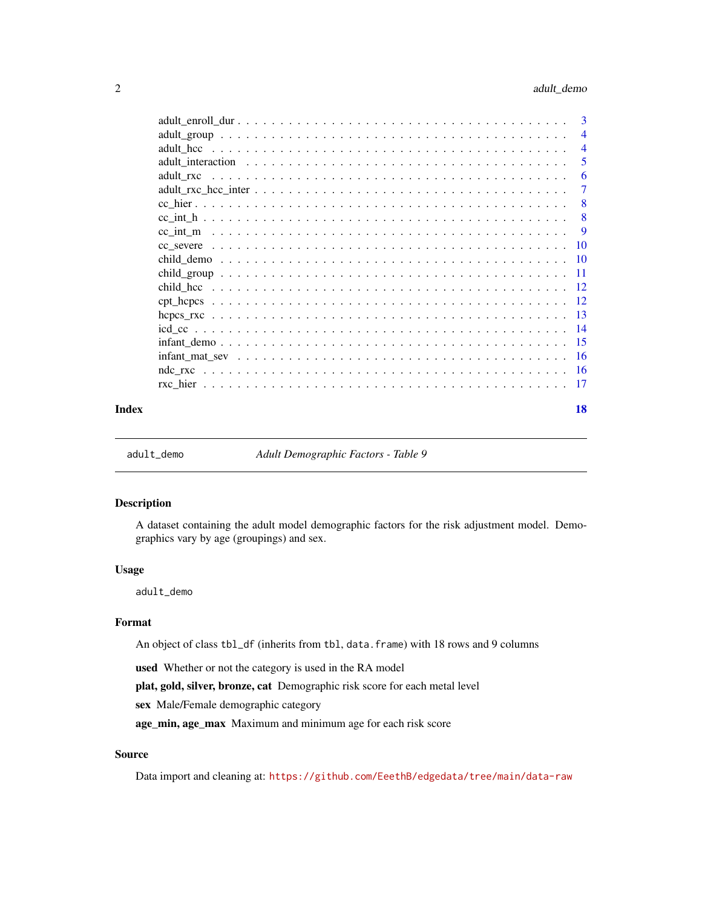<span id="page-1-0"></span>

|       | $\overline{4}$ |
|-------|----------------|
|       | .5             |
|       | -6             |
|       |                |
|       | -8             |
|       |                |
|       |                |
|       |                |
|       |                |
|       |                |
|       |                |
|       |                |
|       |                |
|       |                |
|       |                |
|       |                |
|       |                |
|       |                |
| Index | 18             |

<span id="page-1-1"></span>adult\_demo *Adult Demographic Factors - Table 9*

#### Description

A dataset containing the adult model demographic factors for the risk adjustment model. Demographics vary by age (groupings) and sex.

#### Usage

adult\_demo

#### Format

An object of class tbl\_df (inherits from tbl, data.frame) with 18 rows and 9 columns

used Whether or not the category is used in the RA model

plat, gold, silver, bronze, cat Demographic risk score for each metal level

sex Male/Female demographic category

age\_min, age\_max Maximum and minimum age for each risk score

### Source

Data import and cleaning at: <https://github.com/EeethB/edgedata/tree/main/data-raw>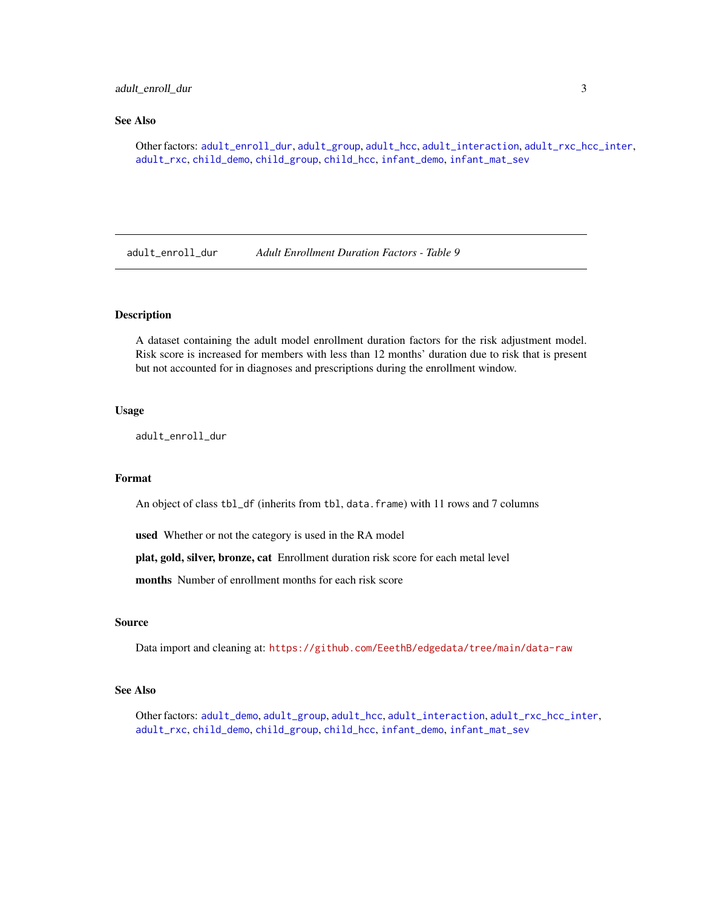#### <span id="page-2-0"></span>adult\_enroll\_dur 3

#### See Also

Other factors: [adult\\_enroll\\_dur](#page-2-1), [adult\\_group](#page-3-1), [adult\\_hcc](#page-3-2), [adult\\_interaction](#page-4-1), [adult\\_rxc\\_hcc\\_inter](#page-6-1), [adult\\_rxc](#page-5-1), [child\\_demo](#page-9-1), [child\\_group](#page-10-1), [child\\_hcc](#page-11-1), [infant\\_demo](#page-14-1), [infant\\_mat\\_sev](#page-15-1)

<span id="page-2-1"></span>adult\_enroll\_dur *Adult Enrollment Duration Factors - Table 9*

### Description

A dataset containing the adult model enrollment duration factors for the risk adjustment model. Risk score is increased for members with less than 12 months' duration due to risk that is present but not accounted for in diagnoses and prescriptions during the enrollment window.

#### Usage

adult\_enroll\_dur

#### Format

An object of class tbl\_df (inherits from tbl, data.frame) with 11 rows and 7 columns

used Whether or not the category is used in the RA model

plat, gold, silver, bronze, cat Enrollment duration risk score for each metal level

months Number of enrollment months for each risk score

#### Source

Data import and cleaning at: <https://github.com/EeethB/edgedata/tree/main/data-raw>

#### See Also

Other factors: [adult\\_demo](#page-1-1), [adult\\_group](#page-3-1), [adult\\_hcc](#page-3-2), [adult\\_interaction](#page-4-1), [adult\\_rxc\\_hcc\\_inter](#page-6-1), [adult\\_rxc](#page-5-1), [child\\_demo](#page-9-1), [child\\_group](#page-10-1), [child\\_hcc](#page-11-1), [infant\\_demo](#page-14-1), [infant\\_mat\\_sev](#page-15-1)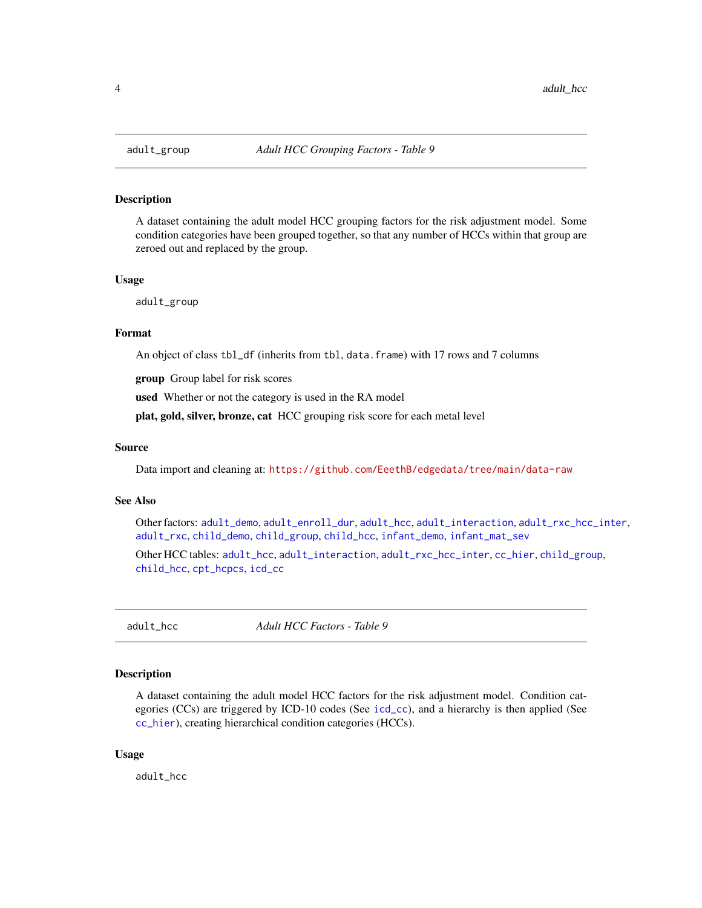<span id="page-3-1"></span><span id="page-3-0"></span>

A dataset containing the adult model HCC grouping factors for the risk adjustment model. Some condition categories have been grouped together, so that any number of HCCs within that group are zeroed out and replaced by the group.

#### Usage

adult\_group

#### Format

An object of class tbl\_df (inherits from tbl, data.frame) with 17 rows and 7 columns

group Group label for risk scores

used Whether or not the category is used in the RA model

plat, gold, silver, bronze, cat HCC grouping risk score for each metal level

#### Source

Data import and cleaning at: <https://github.com/EeethB/edgedata/tree/main/data-raw>

#### See Also

Other factors: [adult\\_demo](#page-1-1), [adult\\_enroll\\_dur](#page-2-1), [adult\\_hcc](#page-3-2), [adult\\_interaction](#page-4-1), [adult\\_rxc\\_hcc\\_inter](#page-6-1), [adult\\_rxc](#page-5-1), [child\\_demo](#page-9-1), [child\\_group](#page-10-1), [child\\_hcc](#page-11-1), [infant\\_demo](#page-14-1), [infant\\_mat\\_sev](#page-15-1)

Other HCC tables: [adult\\_hcc](#page-3-2), [adult\\_interaction](#page-4-1), [adult\\_rxc\\_hcc\\_inter](#page-6-1), [cc\\_hier](#page-7-1), [child\\_group](#page-10-1), [child\\_hcc](#page-11-1), [cpt\\_hcpcs](#page-11-2), [icd\\_cc](#page-13-1)

<span id="page-3-2"></span>adult\_hcc *Adult HCC Factors - Table 9*

#### Description

A dataset containing the adult model HCC factors for the risk adjustment model. Condition categories (CCs) are triggered by ICD-10 codes (See [icd\\_cc](#page-13-1)), and a hierarchy is then applied (See [cc\\_hier](#page-7-1)), creating hierarchical condition categories (HCCs).

#### Usage

adult\_hcc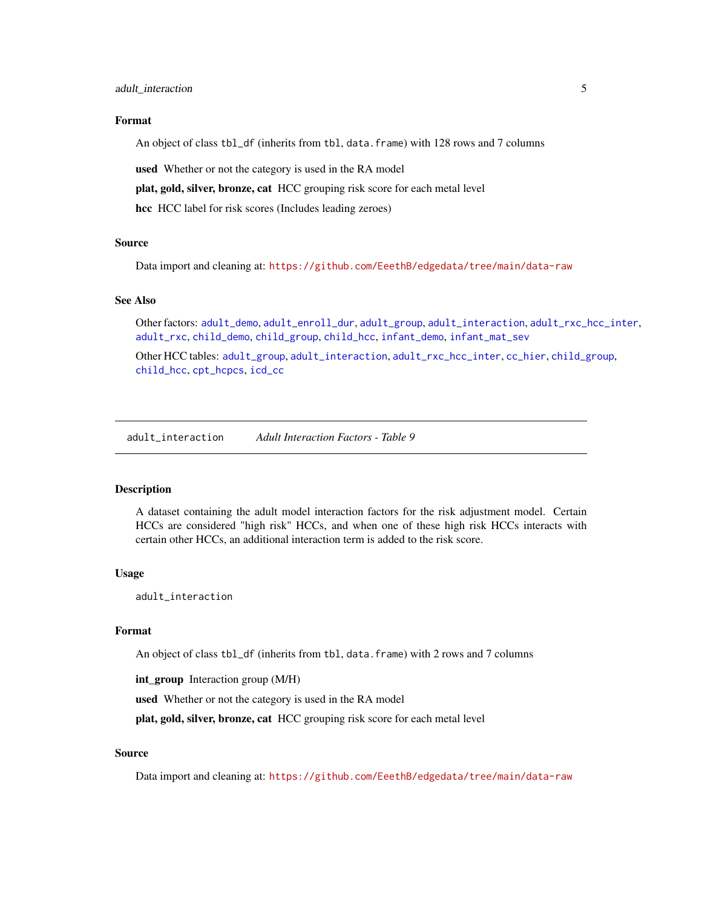#### <span id="page-4-0"></span>Format

An object of class tbl\_df (inherits from tbl, data.frame) with 128 rows and 7 columns

used Whether or not the category is used in the RA model

plat, gold, silver, bronze, cat HCC grouping risk score for each metal level

hcc HCC label for risk scores (Includes leading zeroes)

#### Source

Data import and cleaning at: <https://github.com/EeethB/edgedata/tree/main/data-raw>

#### See Also

Other factors: [adult\\_demo](#page-1-1), [adult\\_enroll\\_dur](#page-2-1), [adult\\_group](#page-3-1), [adult\\_interaction](#page-4-1), [adult\\_rxc\\_hcc\\_inter](#page-6-1), [adult\\_rxc](#page-5-1), [child\\_demo](#page-9-1), [child\\_group](#page-10-1), [child\\_hcc](#page-11-1), [infant\\_demo](#page-14-1), [infant\\_mat\\_sev](#page-15-1)

Other HCC tables: [adult\\_group](#page-3-1), [adult\\_interaction](#page-4-1), [adult\\_rxc\\_hcc\\_inter](#page-6-1), [cc\\_hier](#page-7-1), [child\\_group](#page-10-1), [child\\_hcc](#page-11-1), [cpt\\_hcpcs](#page-11-2), [icd\\_cc](#page-13-1)

<span id="page-4-1"></span>adult\_interaction *Adult Interaction Factors - Table 9*

#### **Description**

A dataset containing the adult model interaction factors for the risk adjustment model. Certain HCCs are considered "high risk" HCCs, and when one of these high risk HCCs interacts with certain other HCCs, an additional interaction term is added to the risk score.

#### Usage

adult\_interaction

#### Format

An object of class tbl\_df (inherits from tbl, data.frame) with 2 rows and 7 columns

int\_group Interaction group (M/H)

used Whether or not the category is used in the RA model

plat, gold, silver, bronze, cat HCC grouping risk score for each metal level

#### Source

Data import and cleaning at: <https://github.com/EeethB/edgedata/tree/main/data-raw>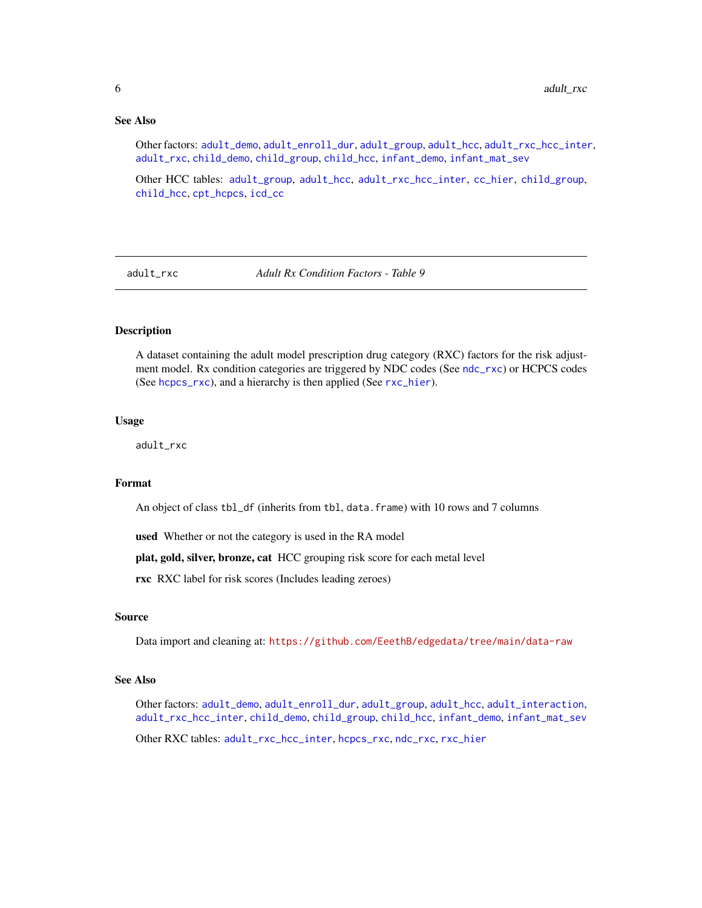#### See Also

Other factors: [adult\\_demo](#page-1-1), [adult\\_enroll\\_dur](#page-2-1), [adult\\_group](#page-3-1), [adult\\_hcc](#page-3-2), [adult\\_rxc\\_hcc\\_inter](#page-6-1), [adult\\_rxc](#page-5-1), [child\\_demo](#page-9-1), [child\\_group](#page-10-1), [child\\_hcc](#page-11-1), [infant\\_demo](#page-14-1), [infant\\_mat\\_sev](#page-15-1)

Other HCC tables: [adult\\_group](#page-3-1), [adult\\_hcc](#page-3-2), [adult\\_rxc\\_hcc\\_inter](#page-6-1), [cc\\_hier](#page-7-1), [child\\_group](#page-10-1), [child\\_hcc](#page-11-1), [cpt\\_hcpcs](#page-11-2), [icd\\_cc](#page-13-1)

<span id="page-5-1"></span>adult\_rxc *Adult Rx Condition Factors - Table 9*

#### Description

A dataset containing the adult model prescription drug category (RXC) factors for the risk adjustment model. Rx condition categories are triggered by NDC codes (See [ndc\\_rxc](#page-15-2)) or HCPCS codes (See [hcpcs\\_rxc](#page-12-1)), and a hierarchy is then applied (See [rxc\\_hier](#page-16-1)).

#### Usage

adult\_rxc

#### Format

An object of class tbl\_df (inherits from tbl, data.frame) with 10 rows and 7 columns

used Whether or not the category is used in the RA model

plat, gold, silver, bronze, cat HCC grouping risk score for each metal level

rxc RXC label for risk scores (Includes leading zeroes)

#### Source

Data import and cleaning at: <https://github.com/EeethB/edgedata/tree/main/data-raw>

#### See Also

Other factors: [adult\\_demo](#page-1-1), [adult\\_enroll\\_dur](#page-2-1), [adult\\_group](#page-3-1), [adult\\_hcc](#page-3-2), [adult\\_interaction](#page-4-1), [adult\\_rxc\\_hcc\\_inter](#page-6-1), [child\\_demo](#page-9-1), [child\\_group](#page-10-1), [child\\_hcc](#page-11-1), [infant\\_demo](#page-14-1), [infant\\_mat\\_sev](#page-15-1)

Other RXC tables: [adult\\_rxc\\_hcc\\_inter](#page-6-1), [hcpcs\\_rxc](#page-12-1), [ndc\\_rxc](#page-15-2), [rxc\\_hier](#page-16-1)

<span id="page-5-0"></span>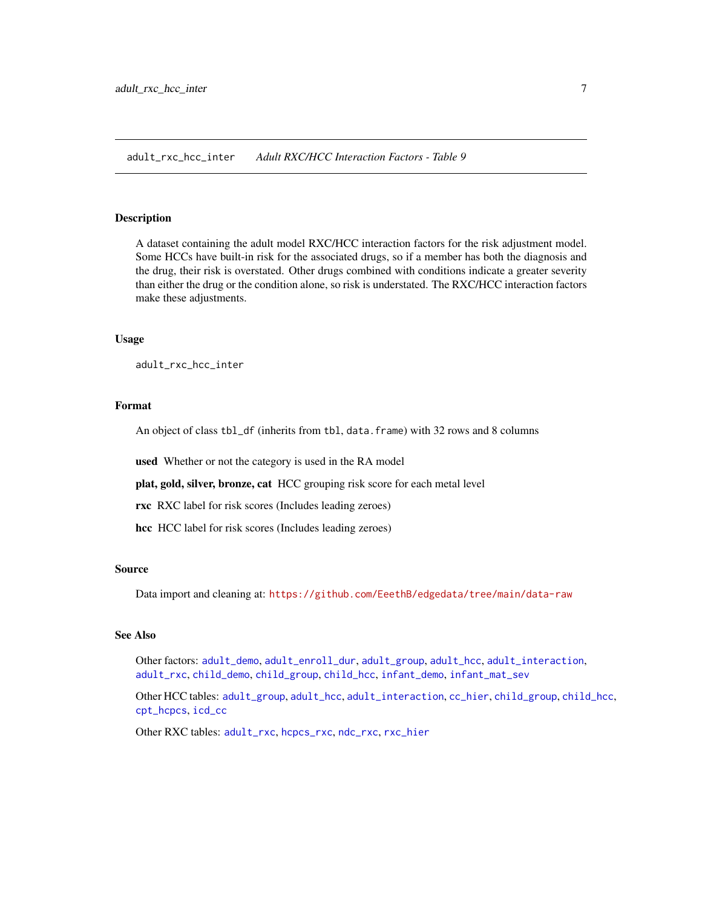<span id="page-6-1"></span><span id="page-6-0"></span>adult\_rxc\_hcc\_inter *Adult RXC/HCC Interaction Factors - Table 9*

#### Description

A dataset containing the adult model RXC/HCC interaction factors for the risk adjustment model. Some HCCs have built-in risk for the associated drugs, so if a member has both the diagnosis and the drug, their risk is overstated. Other drugs combined with conditions indicate a greater severity than either the drug or the condition alone, so risk is understated. The RXC/HCC interaction factors make these adjustments.

#### Usage

adult\_rxc\_hcc\_inter

#### Format

An object of class tbl\_df (inherits from tbl, data.frame) with 32 rows and 8 columns

used Whether or not the category is used in the RA model

plat, gold, silver, bronze, cat HCC grouping risk score for each metal level

rxc RXC label for risk scores (Includes leading zeroes)

hcc HCC label for risk scores (Includes leading zeroes)

#### Source

Data import and cleaning at: <https://github.com/EeethB/edgedata/tree/main/data-raw>

#### See Also

Other factors: [adult\\_demo](#page-1-1), [adult\\_enroll\\_dur](#page-2-1), [adult\\_group](#page-3-1), [adult\\_hcc](#page-3-2), [adult\\_interaction](#page-4-1), [adult\\_rxc](#page-5-1), [child\\_demo](#page-9-1), [child\\_group](#page-10-1), [child\\_hcc](#page-11-1), [infant\\_demo](#page-14-1), [infant\\_mat\\_sev](#page-15-1)

Other HCC tables: [adult\\_group](#page-3-1), [adult\\_hcc](#page-3-2), [adult\\_interaction](#page-4-1), [cc\\_hier](#page-7-1), [child\\_group](#page-10-1), [child\\_hcc](#page-11-1), [cpt\\_hcpcs](#page-11-2), [icd\\_cc](#page-13-1)

Other RXC tables: [adult\\_rxc](#page-5-1), [hcpcs\\_rxc](#page-12-1), [ndc\\_rxc](#page-15-2), [rxc\\_hier](#page-16-1)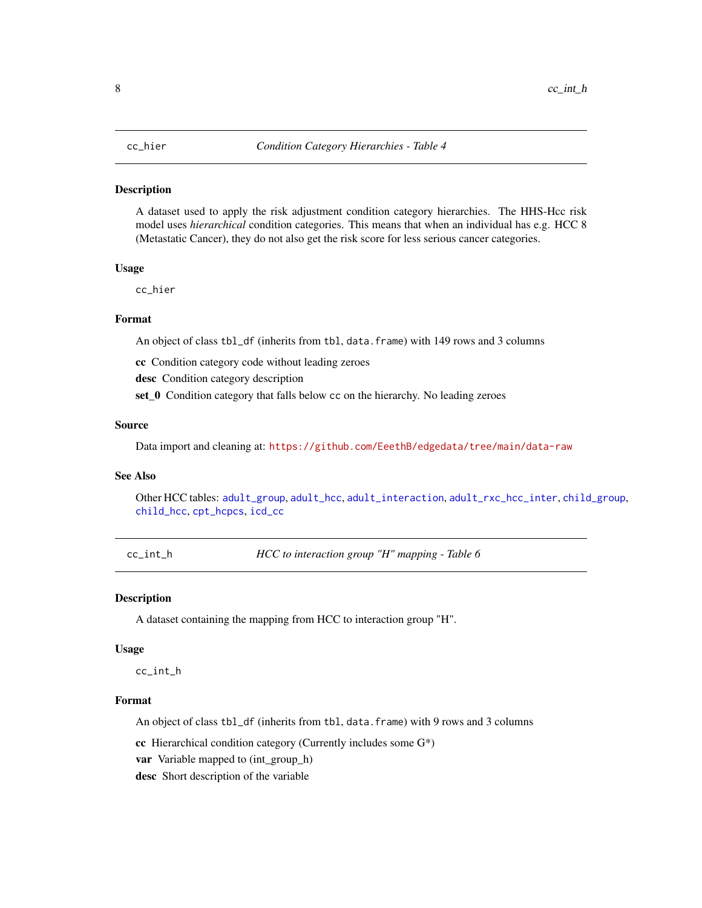<span id="page-7-1"></span><span id="page-7-0"></span>A dataset used to apply the risk adjustment condition category hierarchies. The HHS-Hcc risk model uses *hierarchical* condition categories. This means that when an individual has e.g. HCC 8 (Metastatic Cancer), they do not also get the risk score for less serious cancer categories.

#### Usage

cc\_hier

#### Format

An object of class tbl\_df (inherits from tbl, data.frame) with 149 rows and 3 columns

cc Condition category code without leading zeroes

desc Condition category description

set\_0 Condition category that falls below cc on the hierarchy. No leading zeroes

#### Source

Data import and cleaning at: <https://github.com/EeethB/edgedata/tree/main/data-raw>

#### See Also

Other HCC tables: [adult\\_group](#page-3-1), [adult\\_hcc](#page-3-2), [adult\\_interaction](#page-4-1), [adult\\_rxc\\_hcc\\_inter](#page-6-1), [child\\_group](#page-10-1), [child\\_hcc](#page-11-1), [cpt\\_hcpcs](#page-11-2), [icd\\_cc](#page-13-1)

<span id="page-7-2"></span>cc\_int\_h *HCC to interaction group "H" mapping - Table 6*

#### Description

A dataset containing the mapping from HCC to interaction group "H".

#### Usage

cc\_int\_h

#### Format

An object of class tbl\_df (inherits from tbl, data.frame) with 9 rows and 3 columns

cc Hierarchical condition category (Currently includes some G\*)

var Variable mapped to (int\_group\_h)

desc Short description of the variable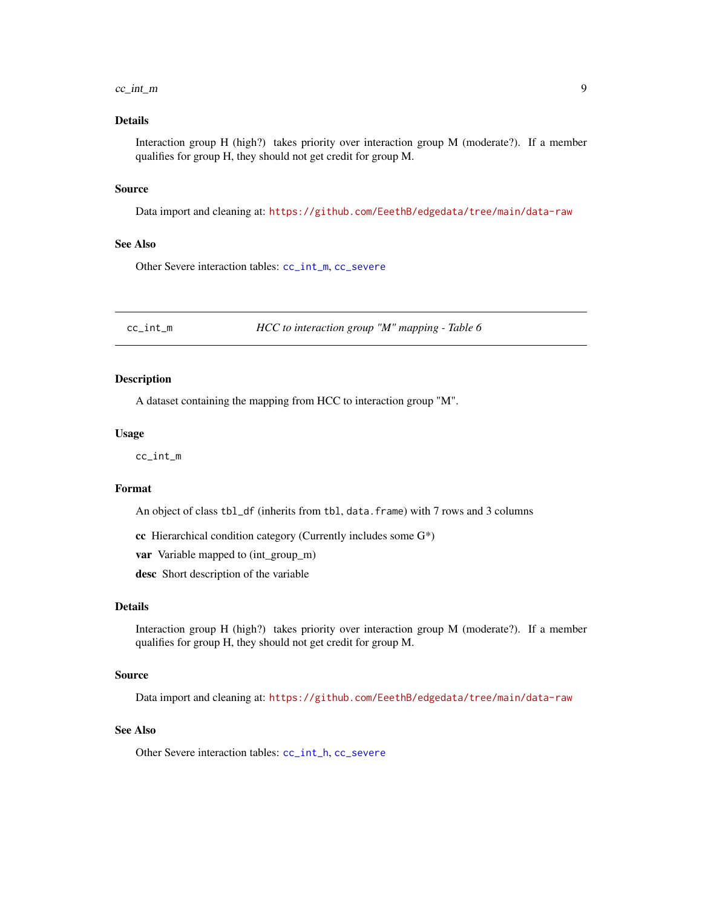#### <span id="page-8-0"></span> $cc\_int\_m$  9

#### Details

Interaction group H (high?) takes priority over interaction group M (moderate?). If a member qualifies for group H, they should not get credit for group M.

#### Source

Data import and cleaning at: <https://github.com/EeethB/edgedata/tree/main/data-raw>

#### See Also

Other Severe interaction tables: [cc\\_int\\_m](#page-8-1), [cc\\_severe](#page-9-2)

<span id="page-8-1"></span>cc\_int\_m *HCC to interaction group "M" mapping - Table 6*

#### Description

A dataset containing the mapping from HCC to interaction group "M".

#### Usage

cc\_int\_m

### Format

An object of class tbl\_df (inherits from tbl, data.frame) with 7 rows and 3 columns

cc Hierarchical condition category (Currently includes some  $G^*$ )

var Variable mapped to (int\_group\_m)

desc Short description of the variable

#### Details

Interaction group H (high?) takes priority over interaction group M (moderate?). If a member qualifies for group H, they should not get credit for group M.

#### Source

Data import and cleaning at: <https://github.com/EeethB/edgedata/tree/main/data-raw>

#### See Also

Other Severe interaction tables: [cc\\_int\\_h](#page-7-2), [cc\\_severe](#page-9-2)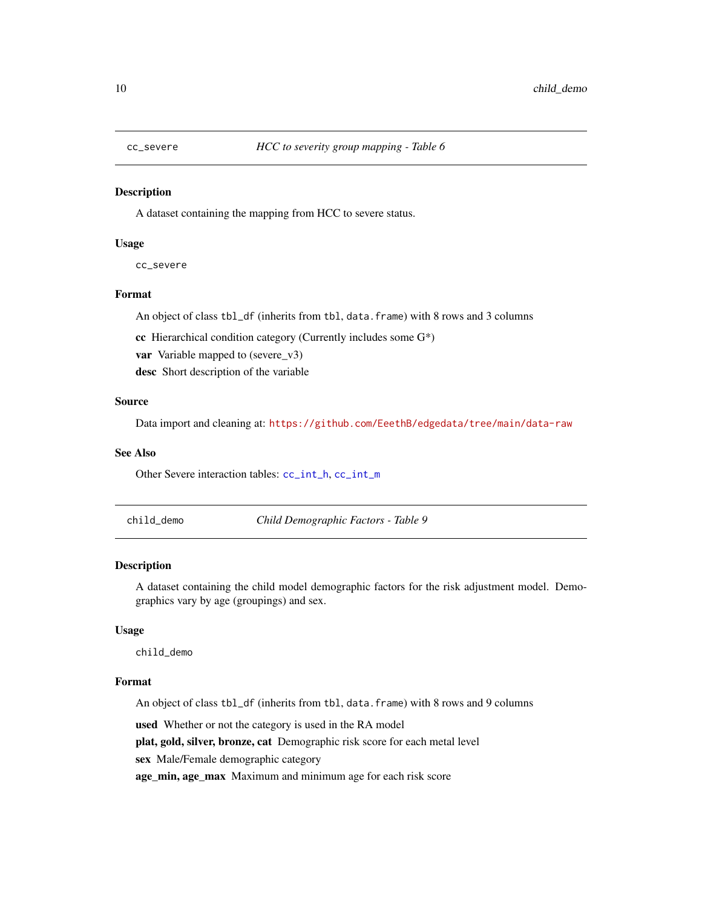<span id="page-9-2"></span><span id="page-9-0"></span>

A dataset containing the mapping from HCC to severe status.

#### Usage

cc\_severe

#### Format

An object of class tbl\_df (inherits from tbl, data.frame) with 8 rows and 3 columns

cc Hierarchical condition category (Currently includes some G\*)

var Variable mapped to (severe\_v3)

desc Short description of the variable

#### Source

Data import and cleaning at: <https://github.com/EeethB/edgedata/tree/main/data-raw>

#### See Also

Other Severe interaction tables: [cc\\_int\\_h](#page-7-2), [cc\\_int\\_m](#page-8-1)

<span id="page-9-1"></span>child\_demo *Child Demographic Factors - Table 9*

#### Description

A dataset containing the child model demographic factors for the risk adjustment model. Demographics vary by age (groupings) and sex.

#### Usage

child\_demo

#### Format

An object of class tbl\_df (inherits from tbl, data.frame) with 8 rows and 9 columns

used Whether or not the category is used in the RA model

plat, gold, silver, bronze, cat Demographic risk score for each metal level

sex Male/Female demographic category

age\_min, age\_max Maximum and minimum age for each risk score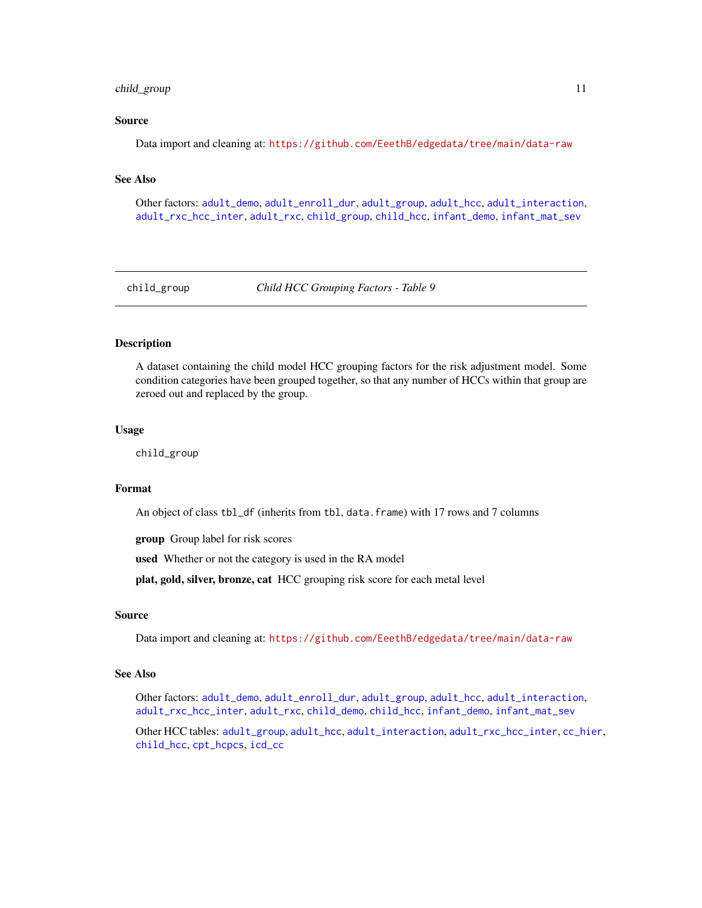#### <span id="page-10-0"></span>child\_group 11

#### Source

Data import and cleaning at: <https://github.com/EeethB/edgedata/tree/main/data-raw>

#### See Also

Other factors: [adult\\_demo](#page-1-1), [adult\\_enroll\\_dur](#page-2-1), [adult\\_group](#page-3-1), [adult\\_hcc](#page-3-2), [adult\\_interaction](#page-4-1), [adult\\_rxc\\_hcc\\_inter](#page-6-1), [adult\\_rxc](#page-5-1), [child\\_group](#page-10-1), [child\\_hcc](#page-11-1), [infant\\_demo](#page-14-1), [infant\\_mat\\_sev](#page-15-1)

<span id="page-10-1"></span>child\_group *Child HCC Grouping Factors - Table 9*

#### Description

A dataset containing the child model HCC grouping factors for the risk adjustment model. Some condition categories have been grouped together, so that any number of HCCs within that group are zeroed out and replaced by the group.

#### Usage

child\_group

#### Format

An object of class tbl\_df (inherits from tbl, data.frame) with 17 rows and 7 columns

group Group label for risk scores

used Whether or not the category is used in the RA model

plat, gold, silver, bronze, cat HCC grouping risk score for each metal level

#### Source

Data import and cleaning at: <https://github.com/EeethB/edgedata/tree/main/data-raw>

#### See Also

Other factors: [adult\\_demo](#page-1-1), [adult\\_enroll\\_dur](#page-2-1), [adult\\_group](#page-3-1), [adult\\_hcc](#page-3-2), [adult\\_interaction](#page-4-1), [adult\\_rxc\\_hcc\\_inter](#page-6-1), [adult\\_rxc](#page-5-1), [child\\_demo](#page-9-1), [child\\_hcc](#page-11-1), [infant\\_demo](#page-14-1), [infant\\_mat\\_sev](#page-15-1)

Other HCC tables: [adult\\_group](#page-3-1), [adult\\_hcc](#page-3-2), [adult\\_interaction](#page-4-1), [adult\\_rxc\\_hcc\\_inter](#page-6-1), [cc\\_hier](#page-7-1), [child\\_hcc](#page-11-1), [cpt\\_hcpcs](#page-11-2), [icd\\_cc](#page-13-1)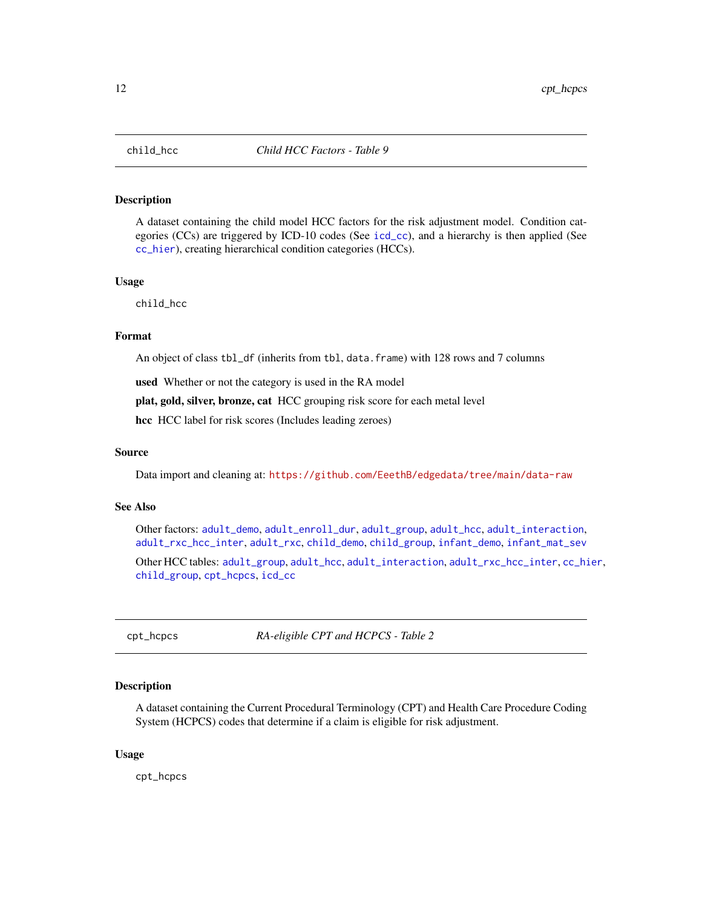<span id="page-11-1"></span><span id="page-11-0"></span>

A dataset containing the child model HCC factors for the risk adjustment model. Condition categories (CCs) are triggered by ICD-10 codes (See [icd\\_cc](#page-13-1)), and a hierarchy is then applied (See [cc\\_hier](#page-7-1)), creating hierarchical condition categories (HCCs).

#### Usage

child\_hcc

#### Format

An object of class tbl\_df (inherits from tbl, data.frame) with 128 rows and 7 columns

used Whether or not the category is used in the RA model

plat, gold, silver, bronze, cat HCC grouping risk score for each metal level

hcc HCC label for risk scores (Includes leading zeroes)

#### Source

Data import and cleaning at: <https://github.com/EeethB/edgedata/tree/main/data-raw>

#### See Also

Other factors: [adult\\_demo](#page-1-1), [adult\\_enroll\\_dur](#page-2-1), [adult\\_group](#page-3-1), [adult\\_hcc](#page-3-2), [adult\\_interaction](#page-4-1), [adult\\_rxc\\_hcc\\_inter](#page-6-1), [adult\\_rxc](#page-5-1), [child\\_demo](#page-9-1), [child\\_group](#page-10-1), [infant\\_demo](#page-14-1), [infant\\_mat\\_sev](#page-15-1)

Other HCC tables: [adult\\_group](#page-3-1), [adult\\_hcc](#page-3-2), [adult\\_interaction](#page-4-1), [adult\\_rxc\\_hcc\\_inter](#page-6-1), [cc\\_hier](#page-7-1), [child\\_group](#page-10-1), [cpt\\_hcpcs](#page-11-2), [icd\\_cc](#page-13-1)

<span id="page-11-2"></span>cpt\_hcpcs *RA-eligible CPT and HCPCS - Table 2*

#### **Description**

A dataset containing the Current Procedural Terminology (CPT) and Health Care Procedure Coding System (HCPCS) codes that determine if a claim is eligible for risk adjustment.

#### Usage

cpt\_hcpcs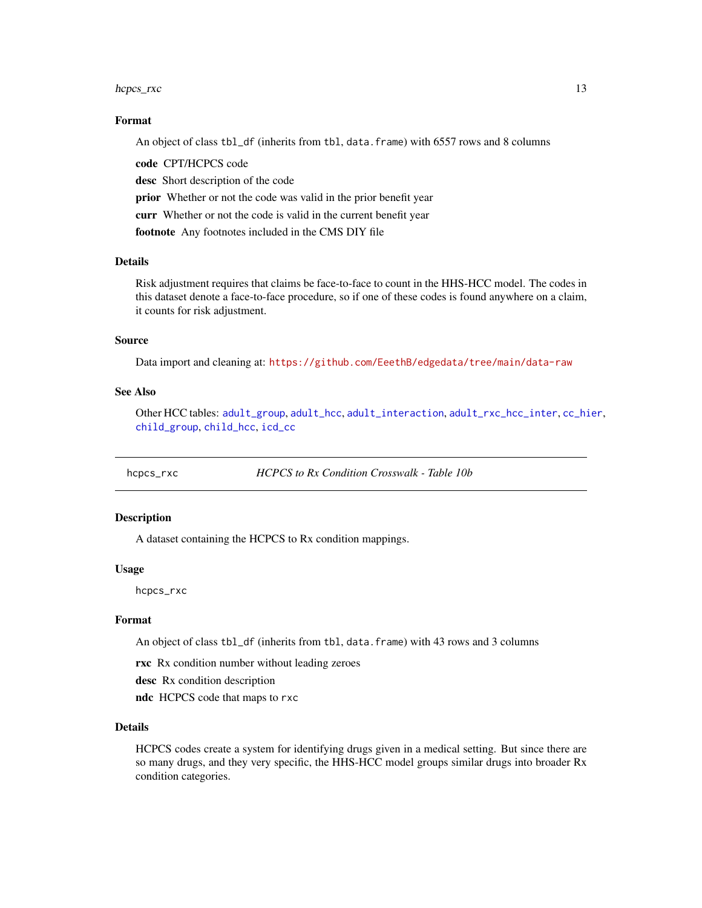#### <span id="page-12-0"></span>hcpcs\_rxc 13

#### Format

An object of class tbl\_df (inherits from tbl, data.frame) with 6557 rows and 8 columns

code CPT/HCPCS code desc Short description of the code prior Whether or not the code was valid in the prior benefit year curr Whether or not the code is valid in the current benefit year footnote Any footnotes included in the CMS DIY file

#### Details

Risk adjustment requires that claims be face-to-face to count in the HHS-HCC model. The codes in this dataset denote a face-to-face procedure, so if one of these codes is found anywhere on a claim, it counts for risk adjustment.

#### Source

Data import and cleaning at: <https://github.com/EeethB/edgedata/tree/main/data-raw>

#### See Also

Other HCC tables: [adult\\_group](#page-3-1), [adult\\_hcc](#page-3-2), [adult\\_interaction](#page-4-1), [adult\\_rxc\\_hcc\\_inter](#page-6-1), [cc\\_hier](#page-7-1), [child\\_group](#page-10-1), [child\\_hcc](#page-11-1), [icd\\_cc](#page-13-1)

<span id="page-12-1"></span>hcpcs\_rxc *HCPCS to Rx Condition Crosswalk - Table 10b*

#### Description

A dataset containing the HCPCS to Rx condition mappings.

#### Usage

hcpcs\_rxc

#### Format

An object of class tbl\_df (inherits from tbl, data.frame) with 43 rows and 3 columns

rxc Rx condition number without leading zeroes

desc Rx condition description

ndc HCPCS code that maps to rxc

#### Details

HCPCS codes create a system for identifying drugs given in a medical setting. But since there are so many drugs, and they very specific, the HHS-HCC model groups similar drugs into broader Rx condition categories.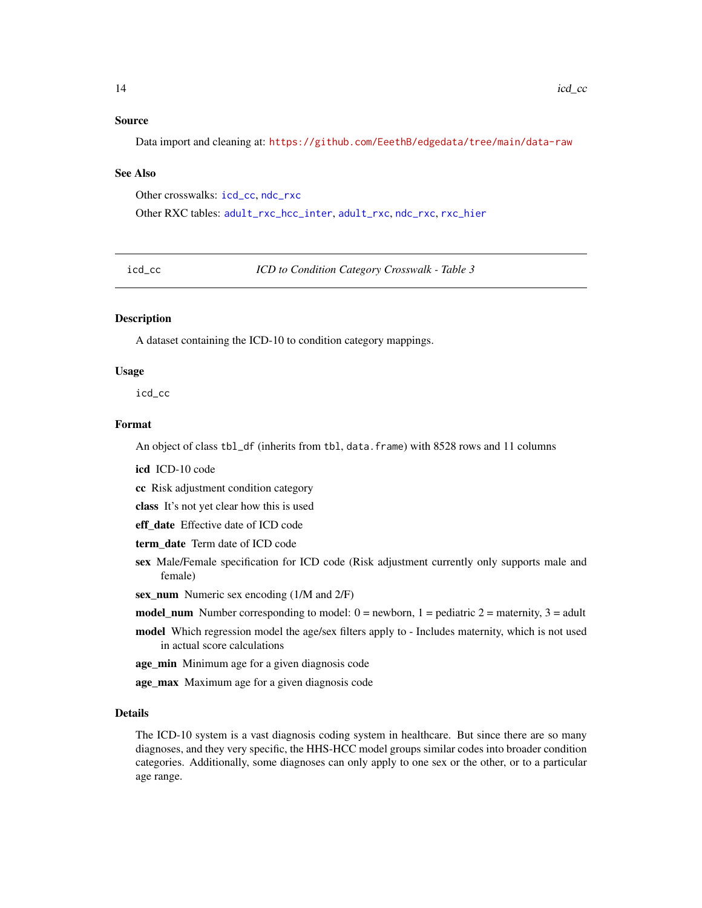#### <span id="page-13-0"></span>Source

Data import and cleaning at: <https://github.com/EeethB/edgedata/tree/main/data-raw>

#### See Also

Other crosswalks: [icd\\_cc](#page-13-1), [ndc\\_rxc](#page-15-2)

Other RXC tables: [adult\\_rxc\\_hcc\\_inter](#page-6-1), [adult\\_rxc](#page-5-1), [ndc\\_rxc](#page-15-2), [rxc\\_hier](#page-16-1)

<span id="page-13-1"></span>icd\_cc *ICD to Condition Category Crosswalk - Table 3*

#### **Description**

A dataset containing the ICD-10 to condition category mappings.

#### Usage

icd\_cc

#### Format

An object of class tbl\_df (inherits from tbl, data.frame) with 8528 rows and 11 columns

icd ICD-10 code

cc Risk adjustment condition category

class It's not yet clear how this is used

eff date Effective date of ICD code

term\_date Term date of ICD code

- sex Male/Female specification for ICD code (Risk adjustment currently only supports male and female)
- sex\_num Numeric sex encoding (1/M and 2/F)
- model\_num Number corresponding to model:  $0 =$  newborn,  $1 =$  pediatric  $2 =$  maternity,  $3 =$  adult
- model Which regression model the age/sex filters apply to Includes maternity, which is not used in actual score calculations
- age\_min Minimum age for a given diagnosis code

age\_max Maximum age for a given diagnosis code

#### Details

The ICD-10 system is a vast diagnosis coding system in healthcare. But since there are so many diagnoses, and they very specific, the HHS-HCC model groups similar codes into broader condition categories. Additionally, some diagnoses can only apply to one sex or the other, or to a particular age range.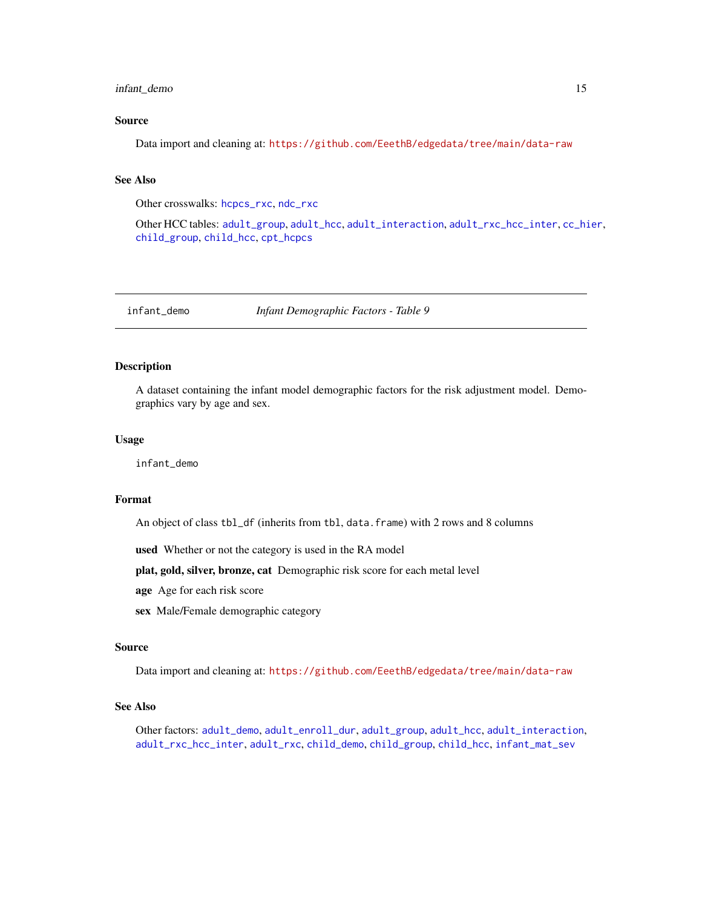#### <span id="page-14-0"></span>infant\_demo 15

#### Source

Data import and cleaning at: <https://github.com/EeethB/edgedata/tree/main/data-raw>

#### See Also

Other crosswalks: [hcpcs\\_rxc](#page-12-1), [ndc\\_rxc](#page-15-2)

Other HCC tables: [adult\\_group](#page-3-1), [adult\\_hcc](#page-3-2), [adult\\_interaction](#page-4-1), [adult\\_rxc\\_hcc\\_inter](#page-6-1), [cc\\_hier](#page-7-1), [child\\_group](#page-10-1), [child\\_hcc](#page-11-1), [cpt\\_hcpcs](#page-11-2)

<span id="page-14-1"></span>infant\_demo *Infant Demographic Factors - Table 9*

#### Description

A dataset containing the infant model demographic factors for the risk adjustment model. Demographics vary by age and sex.

#### Usage

infant\_demo

#### Format

An object of class tbl\_df (inherits from tbl, data.frame) with 2 rows and 8 columns

used Whether or not the category is used in the RA model

plat, gold, silver, bronze, cat Demographic risk score for each metal level

- age Age for each risk score
- sex Male/Female demographic category

#### Source

Data import and cleaning at: <https://github.com/EeethB/edgedata/tree/main/data-raw>

#### See Also

Other factors: [adult\\_demo](#page-1-1), [adult\\_enroll\\_dur](#page-2-1), [adult\\_group](#page-3-1), [adult\\_hcc](#page-3-2), [adult\\_interaction](#page-4-1), [adult\\_rxc\\_hcc\\_inter](#page-6-1), [adult\\_rxc](#page-5-1), [child\\_demo](#page-9-1), [child\\_group](#page-10-1), [child\\_hcc](#page-11-1), [infant\\_mat\\_sev](#page-15-1)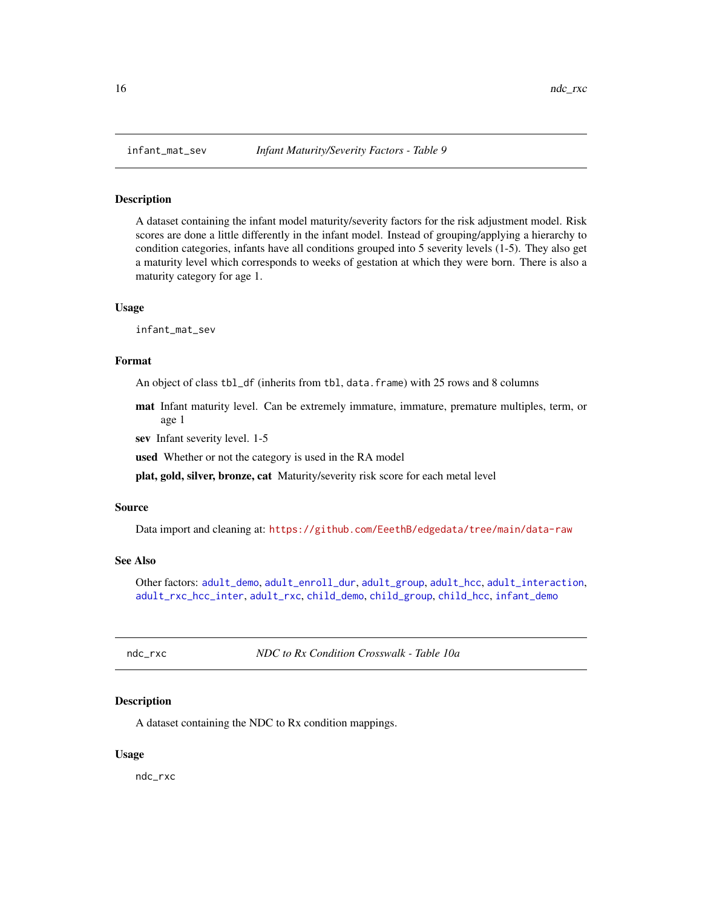<span id="page-15-1"></span><span id="page-15-0"></span>

A dataset containing the infant model maturity/severity factors for the risk adjustment model. Risk scores are done a little differently in the infant model. Instead of grouping/applying a hierarchy to condition categories, infants have all conditions grouped into 5 severity levels (1-5). They also get a maturity level which corresponds to weeks of gestation at which they were born. There is also a maturity category for age 1.

#### Usage

infant\_mat\_sev

#### Format

An object of class tbl\_df (inherits from tbl, data.frame) with 25 rows and 8 columns

mat Infant maturity level. Can be extremely immature, immature, premature multiples, term, or age 1

sev Infant severity level. 1-5

used Whether or not the category is used in the RA model

plat, gold, silver, bronze, cat Maturity/severity risk score for each metal level

#### Source

Data import and cleaning at: <https://github.com/EeethB/edgedata/tree/main/data-raw>

#### See Also

Other factors: [adult\\_demo](#page-1-1), [adult\\_enroll\\_dur](#page-2-1), [adult\\_group](#page-3-1), [adult\\_hcc](#page-3-2), [adult\\_interaction](#page-4-1), [adult\\_rxc\\_hcc\\_inter](#page-6-1), [adult\\_rxc](#page-5-1), [child\\_demo](#page-9-1), [child\\_group](#page-10-1), [child\\_hcc](#page-11-1), [infant\\_demo](#page-14-1)

<span id="page-15-2"></span>ndc\_rxc *NDC to Rx Condition Crosswalk - Table 10a*

#### **Description**

A dataset containing the NDC to Rx condition mappings.

#### Usage

ndc\_rxc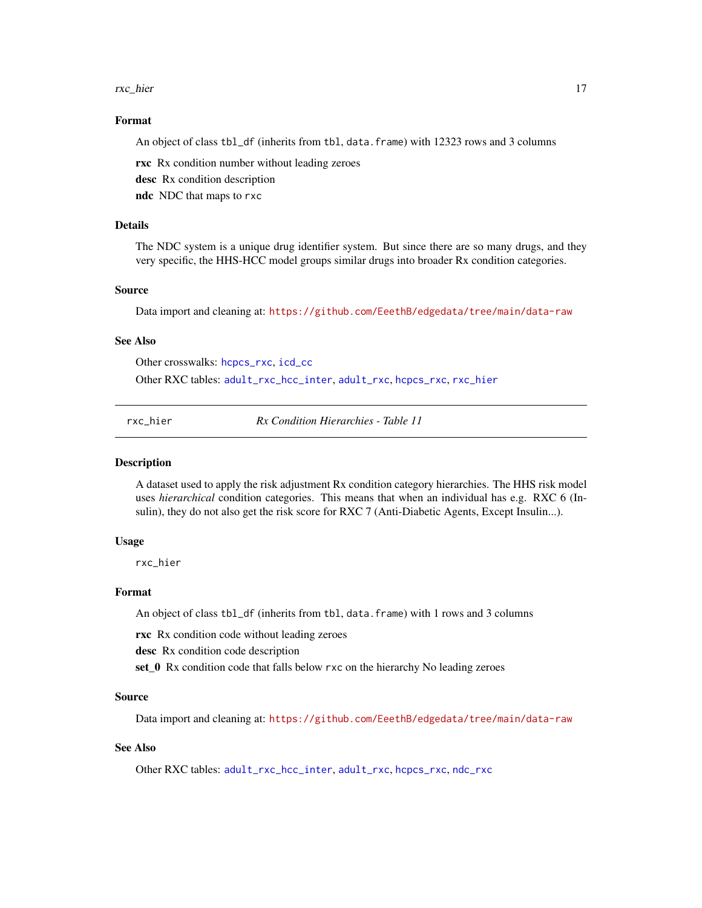#### <span id="page-16-0"></span>rxc\_hier 17

#### Format

An object of class tbl\_df (inherits from tbl, data.frame) with 12323 rows and 3 columns

rxc Rx condition number without leading zeroes

desc Rx condition description

ndc NDC that maps to rxc

#### **Details**

The NDC system is a unique drug identifier system. But since there are so many drugs, and they very specific, the HHS-HCC model groups similar drugs into broader Rx condition categories.

#### Source

Data import and cleaning at: <https://github.com/EeethB/edgedata/tree/main/data-raw>

#### See Also

Other crosswalks: [hcpcs\\_rxc](#page-12-1), [icd\\_cc](#page-13-1)

Other RXC tables: [adult\\_rxc\\_hcc\\_inter](#page-6-1), [adult\\_rxc](#page-5-1), [hcpcs\\_rxc](#page-12-1), [rxc\\_hier](#page-16-1)

<span id="page-16-1"></span>rxc\_hier *Rx Condition Hierarchies - Table 11*

#### Description

A dataset used to apply the risk adjustment Rx condition category hierarchies. The HHS risk model uses *hierarchical* condition categories. This means that when an individual has e.g. RXC 6 (Insulin), they do not also get the risk score for RXC 7 (Anti-Diabetic Agents, Except Insulin...).

#### Usage

rxc\_hier

#### Format

An object of class tbl\_df (inherits from tbl, data.frame) with 1 rows and 3 columns

rxc Rx condition code without leading zeroes

desc Rx condition code description

set\_0 Rx condition code that falls below rxc on the hierarchy No leading zeroes

#### Source

Data import and cleaning at: <https://github.com/EeethB/edgedata/tree/main/data-raw>

#### See Also

Other RXC tables: [adult\\_rxc\\_hcc\\_inter](#page-6-1), [adult\\_rxc](#page-5-1), [hcpcs\\_rxc](#page-12-1), [ndc\\_rxc](#page-15-2)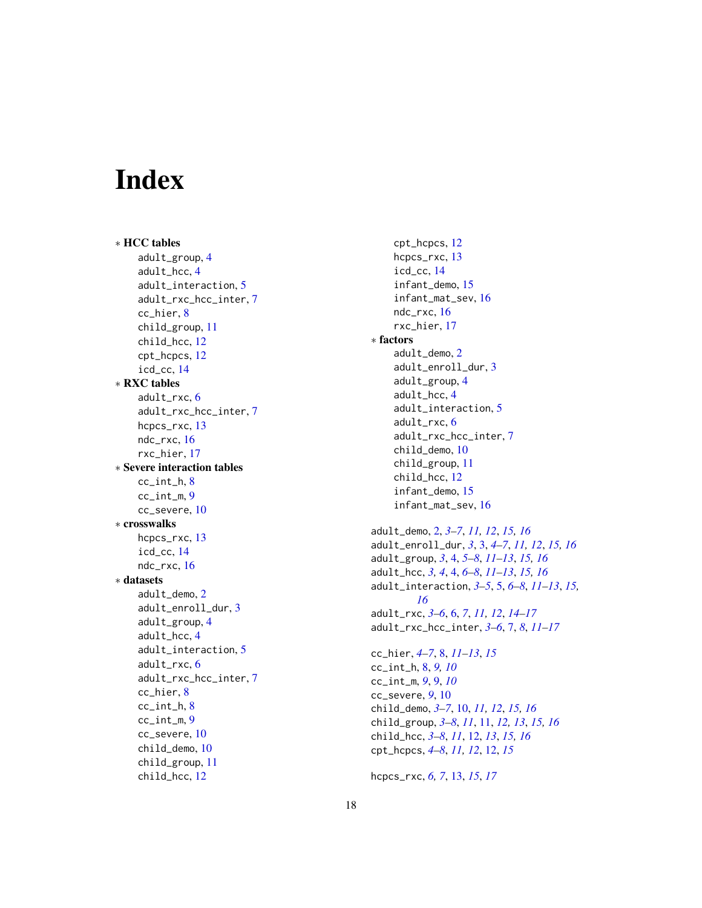# <span id="page-17-0"></span>Index

∗ HCC tables adult\_group , [4](#page-3-0) adult\_hcc , [4](#page-3-0) adult\_interaction , [5](#page-4-0) adult\_rxc\_hcc\_inter , [7](#page-6-0) cc\_hier , [8](#page-7-0) child\_group , [11](#page-10-0) child\_hcc , [12](#page-11-0) cpt\_hcpcs , [12](#page-11-0) icd\_cc , [14](#page-13-0) ∗ RXC tables adult\_rxc , [6](#page-5-0) adult\_rxc\_hcc\_inter , [7](#page-6-0) hcpcs\_rxc , [13](#page-12-0) ndc\_rxc , [16](#page-15-0) rxc\_hier , [17](#page-16-0) ∗ Severe interaction tables cc\_int\_h , [8](#page-7-0) cc\_int\_m , [9](#page-8-0) cc\_severe , [10](#page-9-0) ∗ crosswalks hcpcs\_rxc , [13](#page-12-0) icd\_cc , [14](#page-13-0) ndc\_rxc , [16](#page-15-0) ∗ datasets adult\_demo , [2](#page-1-0) adult\_enroll\_dur , [3](#page-2-0) adult\_group , [4](#page-3-0) adult\_hcc , [4](#page-3-0) adult\_interaction , [5](#page-4-0) adult\_rxc , [6](#page-5-0) adult\_rxc\_hcc\_inter , [7](#page-6-0) cc\_hier , [8](#page-7-0) cc\_int\_h , [8](#page-7-0) cc\_int\_m , [9](#page-8-0) cc\_severe , [10](#page-9-0) child\_demo , [10](#page-9-0) child\_group , [11](#page-10-0) child\_hcc , [12](#page-11-0)

cpt\_hcpcs , [12](#page-11-0) hcpcs\_rxc , [13](#page-12-0) icd\_cc , [14](#page-13-0) infant\_demo , [15](#page-14-0) infant\_mat\_sev , [16](#page-15-0) ndc\_rxc , [16](#page-15-0) rxc\_hier , [17](#page-16-0) ∗ factors adult\_demo , [2](#page-1-0) adult\_enroll\_dur , [3](#page-2-0) adult\_group, [4](#page-3-0) adult\_hcc , [4](#page-3-0) adult\_interaction , [5](#page-4-0) adult\_rxc , [6](#page-5-0) adult\_rxc\_hcc\_inter , [7](#page-6-0) child\_demo , [10](#page-9-0) child\_group , [11](#page-10-0) child\_hcc , [12](#page-11-0) infant\_demo , [15](#page-14-0) infant\_mat\_sev , [16](#page-15-0) adult\_demo , [2](#page-1-0) , *[3](#page-2-0) – [7](#page-6-0)* , *[11](#page-10-0) , [12](#page-11-0)* , *[15](#page-14-0) , [16](#page-15-0)* adult\_enroll\_dur , *[3](#page-2-0)* , [3](#page-2-0) , *[4](#page-3-0) – [7](#page-6-0)* , *[11](#page-10-0) , [12](#page-11-0)* , *[15](#page-14-0) , [16](#page-15-0)* adult\_group , *[3](#page-2-0)* , [4](#page-3-0) , *[5](#page-4-0) – [8](#page-7-0)* , *[11](#page-10-0) [–13](#page-12-0)* , *[15](#page-14-0) , [16](#page-15-0)* adult\_hcc , *[3](#page-2-0) , [4](#page-3-0)* , [4](#page-3-0) , *[6–](#page-5-0) [8](#page-7-0)* , *[11](#page-10-0) [–13](#page-12-0)* , *[15](#page-14-0) , [16](#page-15-0)* adult\_interaction , *[3](#page-2-0) – [5](#page-4-0)* , [5](#page-4-0) , *[6–](#page-5-0) [8](#page-7-0)* , *[11](#page-10-0) [–13](#page-12-0)* , *[15](#page-14-0) , [16](#page-15-0)* adult\_rxc , *[3](#page-2-0) – [6](#page-5-0)* , [6](#page-5-0) , *[7](#page-6-0)* , *[11](#page-10-0) , [12](#page-11-0)* , *[14](#page-13-0) [–17](#page-16-0)* adult\_rxc\_hcc\_inter , *[3](#page-2-0) – [6](#page-5-0)* , [7](#page-6-0) , *[8](#page-7-0)* , *[11](#page-10-0) [–17](#page-16-0)* cc\_hier , *[4](#page-3-0) – [7](#page-6-0)* , [8](#page-7-0) , *[11](#page-10-0) [–13](#page-12-0)* , *[15](#page-14-0)* cc\_int\_h , [8](#page-7-0) , *[9](#page-8-0) , [10](#page-9-0)* cc\_int\_m , *[9](#page-8-0)* , [9](#page-8-0) , *[10](#page-9-0)* cc\_severe , *[9](#page-8-0)* , [10](#page-9-0) child\_demo , *[3](#page-2-0) – [7](#page-6-0)* , [10](#page-9-0) , *[11](#page-10-0) , [12](#page-11-0)* , *[15](#page-14-0) , [16](#page-15-0)* child\_group , *[3](#page-2-0) – [8](#page-7-0)* , *[11](#page-10-0)* , [11](#page-10-0) , *[12](#page-11-0) , [13](#page-12-0)* , *[15](#page-14-0) , [16](#page-15-0)* child\_hcc , *[3](#page-2-0) – [8](#page-7-0)* , *[11](#page-10-0)* , [12](#page-11-0) , *[13](#page-12-0)* , *[15](#page-14-0) , [16](#page-15-0)* cpt\_hcpcs , *[4](#page-3-0) – [8](#page-7-0)* , *[11](#page-10-0) , [12](#page-11-0)* , [12](#page-11-0) , *[15](#page-14-0)*

hcpcs\_rxc , *[6,](#page-5-0) [7](#page-6-0)* , [13](#page-12-0) , *[15](#page-14-0)* , *[17](#page-16-0)*